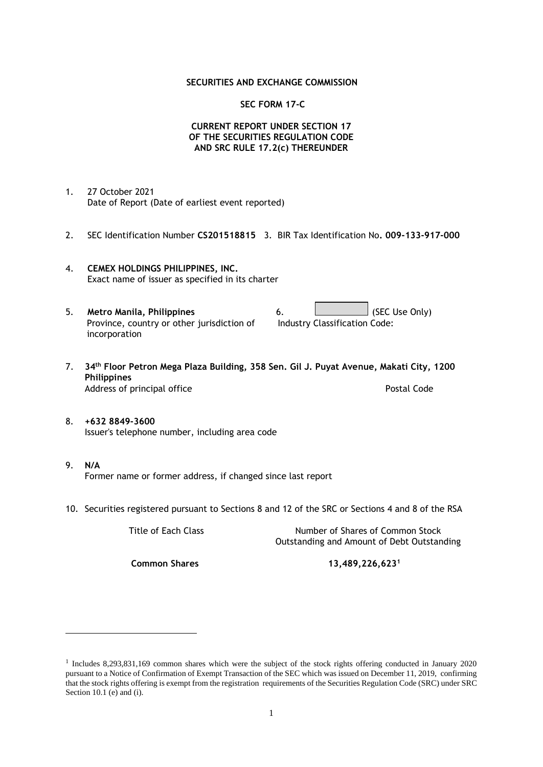## **SECURITIES AND EXCHANGE COMMISSION**

## **SEC FORM 17-C**

## **CURRENT REPORT UNDER SECTION 17 OF THE SECURITIES REGULATION CODE AND SRC RULE 17.2(c) THEREUNDER**

- 1. 27 October 2021 Date of Report (Date of earliest event reported)
- 2. SEC Identification Number **CS201518815** 3. BIR Tax Identification No**. 009-133-917-000**
- 4. **CEMEX HOLDINGS PHILIPPINES, INC.** Exact name of issuer as specified in its charter
- 5. **Metro Manila, Philippines** 6. **Consumers 6.** (SEC Use Only) Province, country or other jurisdiction of incorporation Industry Classification Code:
- 7. **34th Floor Petron Mega Plaza Building, 358 Sen. Gil J. Puyat Avenue, Makati City, 1200 Philippines** Address of principal office **Postal Code** Postal Code
- 8. **+632 8849-3600** Issuer's telephone number, including area code
- 9. **N/A** Former name or former address, if changed since last report
- 10. Securities registered pursuant to Sections 8 and 12 of the SRC or Sections 4 and 8 of the RSA

Title of Each Class Number of Shares of Common Stock Outstanding and Amount of Debt Outstanding

**Common Shares 13,489,226,623<sup>1</sup>**

<sup>1</sup> Includes 8,293,831,169 common shares which were the subject of the stock rights offering conducted in January 2020 pursuant to a Notice of Confirmation of Exempt Transaction of the SEC which was issued on December 11, 2019, confirming that the stock rights offering is exempt from the registration requirements of the Securities Regulation Code (SRC) under SRC Section 10.1 (e) and (i).